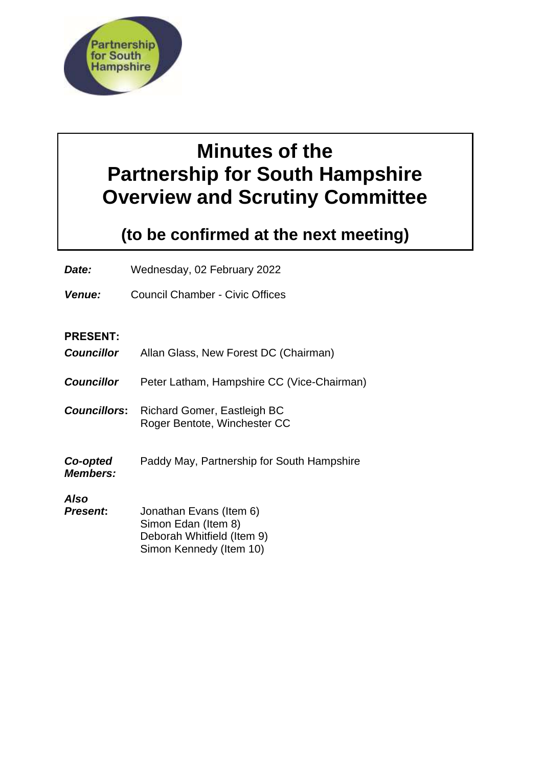

# **Minutes of the Partnership for South Hampshire Overview and Scrutiny Committee**

# **(to be confirmed at the next meeting)**

*Date:* Wednesday, 02 February 2022

*Venue:* Council Chamber - Civic Offices

# **PRESENT:**

| <b>Councillor</b>           | Allan Glass, New Forest DC (Chairman)                                                                   |
|-----------------------------|---------------------------------------------------------------------------------------------------------|
| <b>Councillor</b>           | Peter Latham, Hampshire CC (Vice-Chairman)                                                              |
| <b>Councillors:</b>         | Richard Gomer, Eastleigh BC<br>Roger Bentote, Winchester CC                                             |
| Co-opted<br><b>Members:</b> | Paddy May, Partnership for South Hampshire                                                              |
| Also<br>Present:            | Jonathan Evans (Item 6)<br>Simon Edan (Item 8)<br>Deborah Whitfield (Item 9)<br>Simon Kennedy (Item 10) |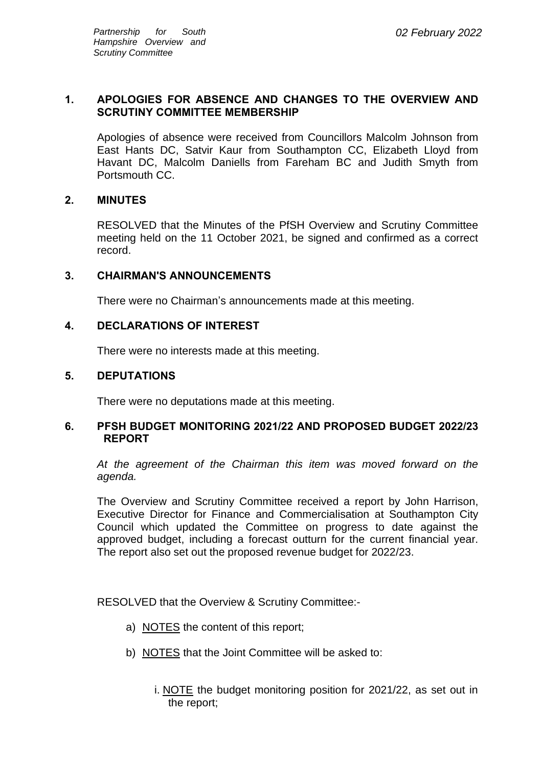#### **1. APOLOGIES FOR ABSENCE AND CHANGES TO THE OVERVIEW AND SCRUTINY COMMITTEE MEMBERSHIP**

Apologies of absence were received from Councillors Malcolm Johnson from East Hants DC, Satvir Kaur from Southampton CC, Elizabeth Lloyd from Havant DC, Malcolm Daniells from Fareham BC and Judith Smyth from Portsmouth CC.

# **2. MINUTES**

RESOLVED that the Minutes of the PfSH Overview and Scrutiny Committee meeting held on the 11 October 2021, be signed and confirmed as a correct record.

#### **3. CHAIRMAN'S ANNOUNCEMENTS**

There were no Chairman's announcements made at this meeting.

#### **4. DECLARATIONS OF INTEREST**

There were no interests made at this meeting.

#### **5. DEPUTATIONS**

There were no deputations made at this meeting.

#### **6. PFSH BUDGET MONITORING 2021/22 AND PROPOSED BUDGET 2022/23 REPORT**

*At the agreement of the Chairman this item was moved forward on the agenda.*

The Overview and Scrutiny Committee received a report by John Harrison, Executive Director for Finance and Commercialisation at Southampton City Council which updated the Committee on progress to date against the approved budget, including a forecast outturn for the current financial year. The report also set out the proposed revenue budget for 2022/23.

RESOLVED that the Overview & Scrutiny Committee:-

- a) NOTES the content of this report;
- b) NOTES that the Joint Committee will be asked to:
	- i. NOTE the budget monitoring position for 2021/22, as set out in the report;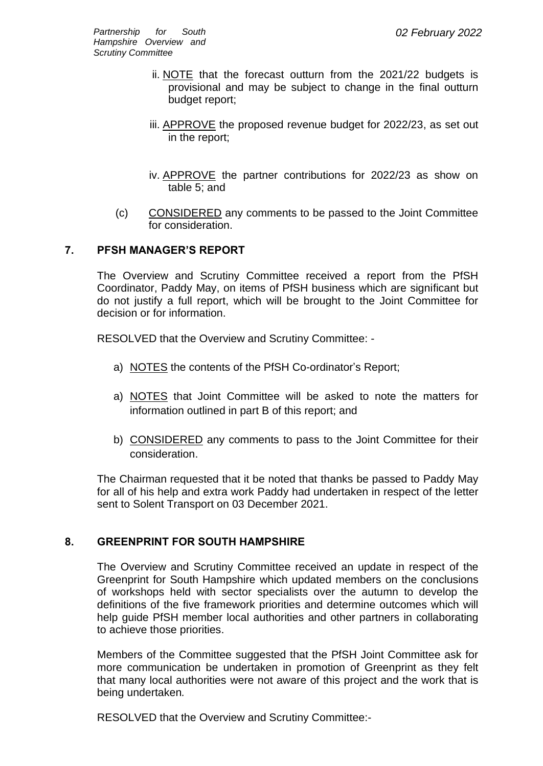- ii. NOTE that the forecast outturn from the 2021/22 budgets is provisional and may be subject to change in the final outturn budget report;
- iii. APPROVE the proposed revenue budget for 2022/23, as set out in the report;
- iv. APPROVE the partner contributions for 2022/23 as show on table 5; and
- (c) CONSIDERED any comments to be passed to the Joint Committee for consideration.

# **7. PFSH MANAGER'S REPORT**

The Overview and Scrutiny Committee received a report from the PfSH Coordinator, Paddy May, on items of PfSH business which are significant but do not justify a full report, which will be brought to the Joint Committee for decision or for information.

RESOLVED that the Overview and Scrutiny Committee: -

- a) NOTES the contents of the PfSH Co-ordinator's Report;
- a) NOTES that Joint Committee will be asked to note the matters for information outlined in part B of this report; and
- b) CONSIDERED any comments to pass to the Joint Committee for their consideration.

The Chairman requested that it be noted that thanks be passed to Paddy May for all of his help and extra work Paddy had undertaken in respect of the letter sent to Solent Transport on 03 December 2021.

# **8. GREENPRINT FOR SOUTH HAMPSHIRE**

The Overview and Scrutiny Committee received an update in respect of the Greenprint for South Hampshire which updated members on the conclusions of workshops held with sector specialists over the autumn to develop the definitions of the five framework priorities and determine outcomes which will help guide PfSH member local authorities and other partners in collaborating to achieve those priorities.

Members of the Committee suggested that the PfSH Joint Committee ask for more communication be undertaken in promotion of Greenprint as they felt that many local authorities were not aware of this project and the work that is being undertaken*.*

RESOLVED that the Overview and Scrutiny Committee:-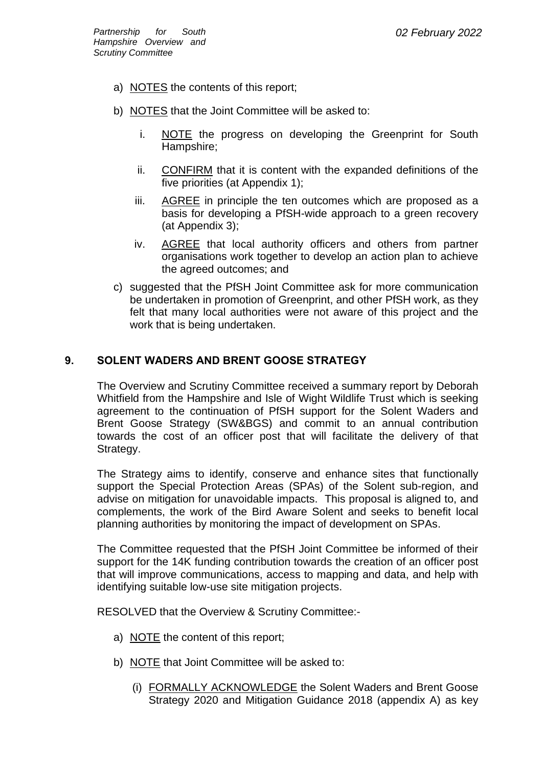- a) NOTES the contents of this report;
- b) NOTES that the Joint Committee will be asked to:
	- i. NOTE the progress on developing the Greenprint for South Hampshire;
	- ii. CONFIRM that it is content with the expanded definitions of the five priorities (at Appendix 1);
	- iii. AGREE in principle the ten outcomes which are proposed as a basis for developing a PfSH-wide approach to a green recovery (at Appendix 3);
	- iv. AGREE that local authority officers and others from partner organisations work together to develop an action plan to achieve the agreed outcomes; and
- c) suggested that the PfSH Joint Committee ask for more communication be undertaken in promotion of Greenprint, and other PfSH work, as they felt that many local authorities were not aware of this project and the work that is being undertaken.

# **9. SOLENT WADERS AND BRENT GOOSE STRATEGY**

The Overview and Scrutiny Committee received a summary report by Deborah Whitfield from the Hampshire and Isle of Wight Wildlife Trust which is seeking agreement to the continuation of PfSH support for the Solent Waders and Brent Goose Strategy (SW&BGS) and commit to an annual contribution towards the cost of an officer post that will facilitate the delivery of that Strategy.

The Strategy aims to identify, conserve and enhance sites that functionally support the Special Protection Areas (SPAs) of the Solent sub-region, and advise on mitigation for unavoidable impacts. This proposal is aligned to, and complements, the work of the Bird Aware Solent and seeks to benefit local planning authorities by monitoring the impact of development on SPAs.

The Committee requested that the PfSH Joint Committee be informed of their support for the 14K funding contribution towards the creation of an officer post that will improve communications, access to mapping and data, and help with identifying suitable low-use site mitigation projects.

RESOLVED that the Overview & Scrutiny Committee:-

- a) NOTE the content of this report;
- b) NOTE that Joint Committee will be asked to:
	- (i) FORMALLY ACKNOWLEDGE the Solent Waders and Brent Goose Strategy 2020 and Mitigation Guidance 2018 (appendix A) as key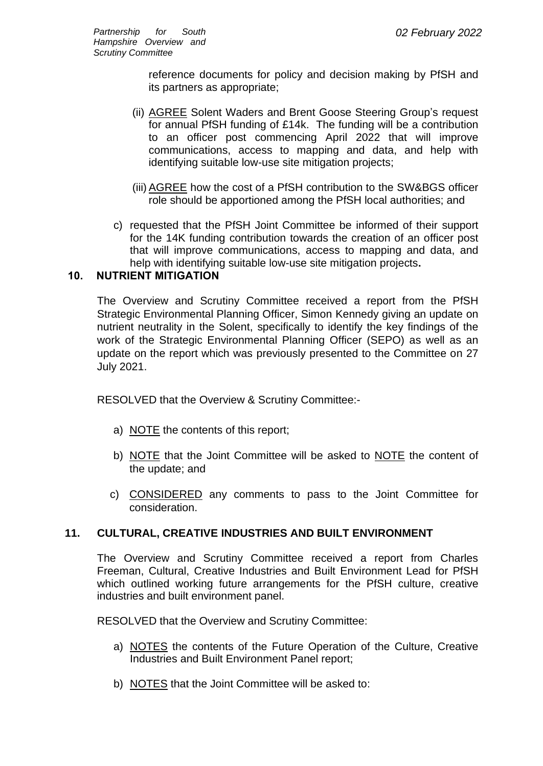reference documents for policy and decision making by PfSH and its partners as appropriate;

- (ii) AGREE Solent Waders and Brent Goose Steering Group's request for annual PfSH funding of £14k. The funding will be a contribution to an officer post commencing April 2022 that will improve communications, access to mapping and data, and help with identifying suitable low-use site mitigation projects;
- (iii) AGREE how the cost of a PfSH contribution to the SW&BGS officer role should be apportioned among the PfSH local authorities; and
- c) requested that the PfSH Joint Committee be informed of their support for the 14K funding contribution towards the creation of an officer post that will improve communications, access to mapping and data, and help with identifying suitable low-use site mitigation projects**.**

# **10. NUTRIENT MITIGATION**

The Overview and Scrutiny Committee received a report from the PfSH Strategic Environmental Planning Officer, Simon Kennedy giving an update on nutrient neutrality in the Solent, specifically to identify the key findings of the work of the Strategic Environmental Planning Officer (SEPO) as well as an update on the report which was previously presented to the Committee on 27 July 2021.

RESOLVED that the Overview & Scrutiny Committee:-

- a) NOTE the contents of this report;
- b) NOTE that the Joint Committee will be asked to NOTE the content of the update; and
- c) CONSIDERED any comments to pass to the Joint Committee for consideration.

# **11. CULTURAL, CREATIVE INDUSTRIES AND BUILT ENVIRONMENT**

The Overview and Scrutiny Committee received a report from Charles Freeman, Cultural, Creative Industries and Built Environment Lead for PfSH which outlined working future arrangements for the PfSH culture, creative industries and built environment panel.

RESOLVED that the Overview and Scrutiny Committee:

- a) NOTES the contents of the Future Operation of the Culture, Creative Industries and Built Environment Panel report;
- b) NOTES that the Joint Committee will be asked to: